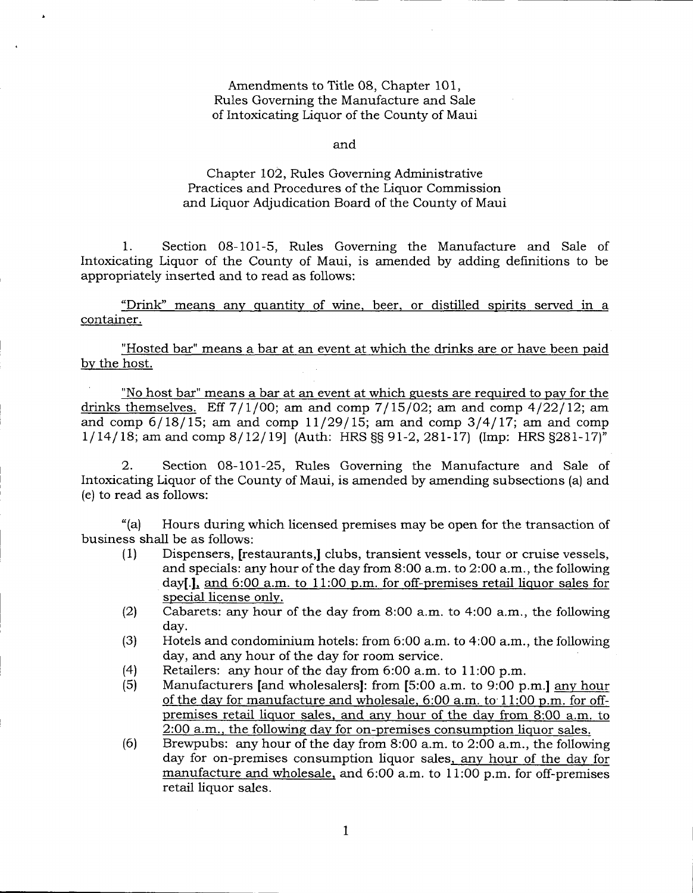Amendments to Title 08, Chapter 101, Rules Governing the Manufacture and Sale of Intoxicating Liquor of the County of Maui

and

## Chapter 102, Rules Governing Administrative Practices and Procedures of the Liquor Commission and Liquor Adjudication Board of the County of Maui

1. Section 08-101-5, Ruies Governing the Manufacture and Sale of Intoxicating Liquor of the County of Maui, is amended by adding definitions to be appropriately inserted and to read as follows:

"Drink" means any quantity of wine, beer, or distilled spirits served in a container.

"Hosted bar" means a bar at an event at which the drinks are or have been paid bv the host.

"No host bar" means a bar at an event at which guests are required to pav for the drinks themselves. Eff  $7/1/00$ ; am and comp  $7/15/02$ ; am and comp  $4/22/12$ ; am and comp  $6/18/15$ ; am and comp  $11/29/15$ ; am and comp  $3/4/17$ ; am and comp  $1/14/18$ ; am and comp  $8/12/19$  (Auth: HRS §§ 91-2, 281-17) (Imp: HRS §281-17)<sup>"</sup>

2. Section 08-101-25, Rules Governing the Manufacture and Sale of Intoxicating Liquor of the County of Maui, is amended by amending subsections (a) and (e) to read as follows:

"(a) Hours during which licensed premises may be open for the transaction of business shall be as follows:

- (1) Dispensers, [restaurants,] clubs, transient vessels, tour or cruise vessels, and specials: any hour of the day from 8:00 a.m. to 2:00 a.m., the following day[.], and 6:00 a.m. to 11:00 p.m. for off-premises retail liquor sales for special license onlv.
- Cabarets: any hour of the day from 8:00 a.m. to 4:00 a.m., the following day.  $(2)$
- Hoteis and condominium hotels: from 6:00 a.m. to 4:00 a.m., the following day, and any hour of the day for room service. (3)
- Retailers: any hour of the day from 6:00 a.m. to 1 1:00 p.m. (4)
- Manufacturers [and wholesalers]: from [5:00 a.m. to 9:00 p.m.] anv hour of the dav for manufacture and wholesale. 6:00 a.m. to'11:00 p.m. for offpremises retail liquor sales. and anv hour of the dav from 8:OO a.m. to 2:OO a.m.. the followinq dav for on-premises consumption liquor sales. (5)
- Brewpubs: any hour of the day from 8:00 a.m. to 2:00 a.m., the following day for on-premises consumption liquor sales, any hour of the day for manufacture and wholesale. and 6:00 a.m. to 11:00 p.m. for off-premises retail liquor sales. (6)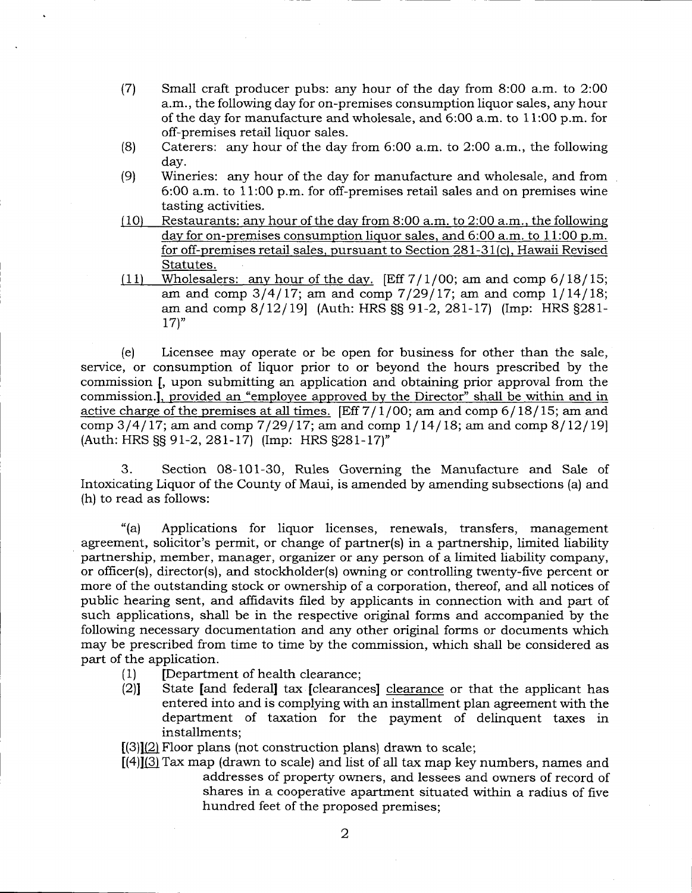- (7) Small craft producer pubs: any hour of the day from 8:00 a.m. to 2:00 a.m., the following day for on-premises consumption liquor sales, any hour of the day for manufacture and wholesale, and 6:OO a.m. to 11:OO p.m. for off-premises retail liquor sales.
- (8) Caterers: any hour of the day from 6:00 a.m. to 2:00 a.m., the following day.
- (9) Wineries: any hour of the day for manufacture and wholesale, and from 6:OO a.m. to 11:00 p.m. for off-premises retail sales and on premises wine
- $(10)$  Restaurants: any hour of the day from 8:00 a.m. to 2:00 a.m., the following day for on-premises consumption liquor sales, and 6:00 a.m. to 11:00 p.m. for off-premises retail sales. pursuant to Section 281-31(c). Hawaii Revised Statutes.<br>(11) Wholesalers: any hour of the day. [Eff  $7/1/00$ ; am and comp  $6/18/15$ ;
- am and comp  $3/4/17$ ; am and comp  $7/29/17$ ; am and comp  $1/14/18$ ; am and comp 8/12/19] (Auth: HRS §§ 91-2, 281-17) (Imp: HRS §281- $17$ "

(e) Licensee may operate or be open for business for other than the sale, service, or consumption of liquor prior to or beyond the hours prescribed by the commission [, upon submitting an application and obtaining prior approval from the commission.l. provided an "emplovee approved by the Director" shall be within and in active charge of the premises at all times. [Eff  $7/1/00$ ; am and comp  $6/18/15$ ; am and comp  $3/4/17$ ; am and comp  $7/29/17$ ; am and comp  $1/14/18$ ; am and comp  $8/12/19$ (Auth: HRS SS 9I-2,28I-I7) (Imp: HRS S28I-I71"

3. Section 08-101-30, Rules Governing the Manufacture and Sale of Intoxicating Liquor of the County of Maui, is amended by amending subsections (a) and (h) to read as follows:

"(a) Applications for liquor licenses, renewals, transfers, management agreement, solicitor's permit, or change of partner(s) in a partnership, limited liability partnership, member, manager, organizer or any person of a limited liability company, or officer(s), director(s), and stockholder(s) owning or controlling twenty-five percent or more of the outstanding stock or ownership of a corporation, thereof, and all notices of public hearing sent, and affidavits filed by applicants in connection with and part of such applications, shall be in the respective original forms and accompanied by the following necessary documentation and any other original forms or documents which may be prescribed from time to time by the commission, which shall be considered as part of the application.

- 
- (1) [Department of health clearance;<br>(2)] State [and federal] tax [clearances] clearance or that the applicant has entered into and is complying with an installment plan agreement with the department of taxation for the payment of delinquent taxes in installments;
- $[(3)](2)$  Floor plans (not construction plans) drawn to scale;
- $[(4)]$ (3) Tax map (drawn to scale) and list of all tax map key numbers, names and addresses of property owners, and lessees and owners of record of shares in a cooperative apartment situated within a radius of five hundred feet of the proposed premises;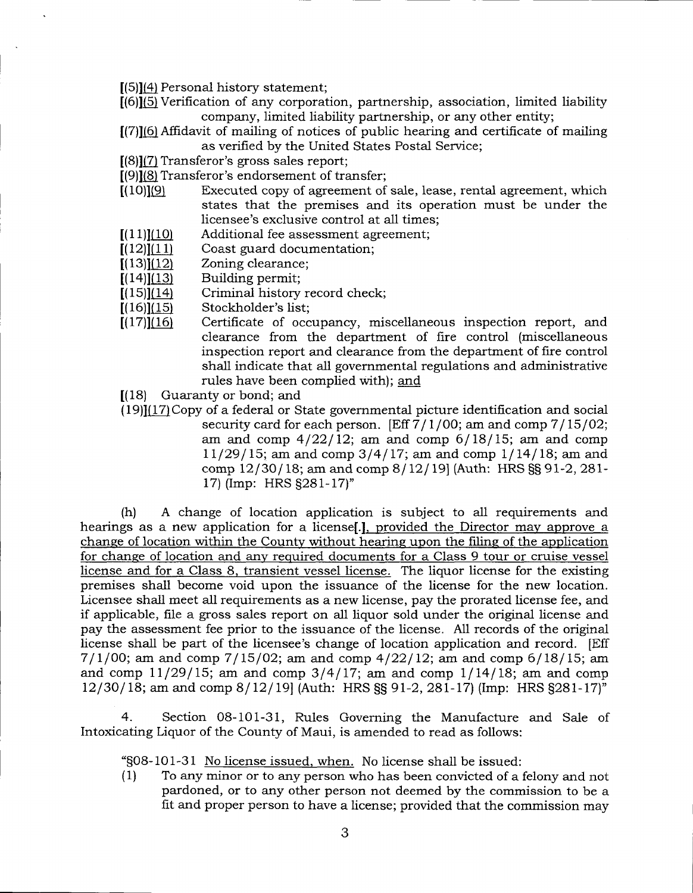$[(5)](4)$  Personal history statement;

- $[(6)](5)$  Verification of any corporation, partnership, association, limited liability company, limited liability partnership, or any other entity;
- [(7)]16lAffidavit of mailing of notices of public hearing and certificate of mailing as verified by the United States Postal Service;
- $[(8)](7)$  Transferor's gross sales report;
- $[(9)]\underline{(8)}$  Transferor's endorsement of transfer;<br> $[(10)]\underline{(9)}$  Executed copy of agreement of
- Executed copy of agreement of sale, lease, rental agreement, which states that the premises and its operation must be under the licensee's exclusive control at all times;
- Additional fee assessment agreement;  $[(11)](10)$
- Coast guard documentation;  $[(12)](11)$
- Zoning clearance;  $[(13)](12)$
- Building permit;  $[(14)](13)$
- Criminal history record check;  $[(15)](14)$
- Stockholder's list:  $[(16)](15)$
- Certificate of occupancy, miscellaneous inspection report, and clearance from the department of fire control (miscellaneous inspection report and clearance from the department of fire control shall indicate that all governmental regulations and administrative rules have been complied with); and  $[(17)](16)$
- $(18)$  Guaranty or bond; and
- $(19)$ ] $(17)$ Copy of a federal or State governmental picture identification and social security card for each person. [Eff  $7/1/00$ ; am and comp  $7/15/02$ ; am and comp  $4/22/12$ ; am and comp  $6/18/15$ ; am and comp  $11/29/15$ ; am and comp  $3/4/17$ ; am and comp  $1/14/18$ ; am and comp  $12/30/18$ ; am and comp  $8/12/19$  (Auth: HRS SS 91-2, 281-17) (Imp: HRS §281-17)"

(h) A change of location application is subject to all requirements and hearings as a new application for a license[.]. provided the Director mav approve a chanee of location within the County without hearine upon the filine of the application for chanqe of location and anv required documents for a Class 9 tour or cruise vessel license and for a Class 8. transient vessel license. The liquor license for the existing premises shall become void upon the issuance of the license for the new location. Licensee shall meet all requirements as a new license, pay the prorated license fee, and if applicable, file a gross sales report on all liquor sold under the original license and pay the assessment fee prior to the issuance of the license. A11 records of the original license shall be part of the licensee's change of location application and record. [Eff  $7/1/00$ ; am and comp  $7/15/02$ ; am and comp  $4/22/12$ ; am and comp  $6/18/15$ ; am and comp  $11/29/15$ ; am and comp  $3/4/17$ ; am and comp  $1/14/18$ ; am and comp  $12/30/18$ ; am and comp  $8/12/19$  (Auth: HRS SS 91-2, 281-17) (Imp: HRS S281-17)<sup>"</sup>

4. Section 08-101-31, Rules Governing the Manufacture and Sale of Intoxicating Liquor of the County of Maui, is amended to read as follows:

'S08-101-31 No license issued. when. No license shall be issued:

(1) To any minor or to any person who has been convicted of a felony and not pardoned, or to any other person not deemed by the commission to be a fit and proper person to have a iicense; provided that the commission may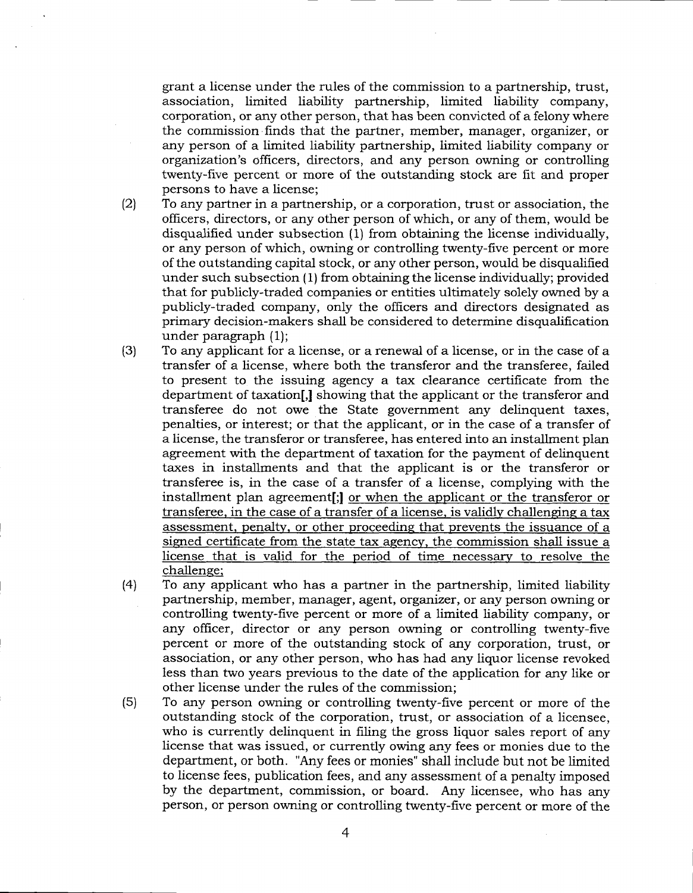grant a license under the rules of the commission to a partnership, trust, association, limited liability partnership, limited liability company, corporation, or any other person, that has been convicted of a felony where the commission finds that the partner, member, manager, organizer, or any person of a limited liability partnership, limited liability company or orgarization's officers, directors, and any person owning or controlling twenty-five percent or more of the outstanding stock are fit and proper persons to have a license;

- $(2)$ To any partner in a partnership, or a corporation, trust or association, the officers, directors, or any other person of which, or any of them, would be disqualified under subsection (1) from obtaining the license individually, or any person of which, owning or controlling twenty-five percent or more of the outstanding capital stock, or any other person, would be disqualified under such subsection (1) from obtaining the license individually; provided that for publicly-traded companies or entities ultimately solely owned by a publicly-traded company, only the officers and directors designated as primary decision-makers shall be considered to determine disqualification under paragraph (1);
- To any applicant for a license, or a renewal of a license, or in the case of a transfer of a license, where both the transferor and the transferee, failed to present to the issuing agency a tax clearance certificate from the department of taxation[,] showing that the applicant or the transferor and transferee do not owe the State government any delinquent taxes, penalties, or interest; or that the applicant, or in the case of a transfer of a license, the transferor or transferee, has entered into an installment plan agreement with the department of taxation for the payment of delinquent taxes in installments and that the applicant is or the transferor or transferee is, in the case of a transfer of a license, complying with the installment plan agreement[;l or when the applicant or the transferor or transferee, in the case of a transfer of a license, is validly challenging a tax assessment. penaltv. or other proceedinq that prevents the issuance of a simed certificate from the state tax agencv. the commission shall issue a license that is valid for the period of time necessarv to resolve the challenge; (3)
- To any applicant who has a partner in the partnership, limited liability partnership, member, manager, agent, organizer, or any person owning or controlling twenty-five percent or more of a limited liability company, or any officer, director or any person owning or controlling twenty-five percent or more of the outstanding stock of any corporation, trust, or association, or any other person, who has had any liquor license revoked less than two years previous to the date of the application for any like or other license under the rules of the commission; (4)
- To any person owning or controlling twenty-five percent or more of the outstanding stock of the corporation, trust, or association of a licensee, who is currently delinquent in filing the gross liquor sales report of any license that was issued, or currently owing any fees or monies due to the department, or both. "Any fees or monies" shall include but not be limited to license fees, publication fees, and any assessment of a penalty imposed by the department, commission, or board. Any licensee, who has any person, or person owning or controlling twenty-five percent or more of the (s)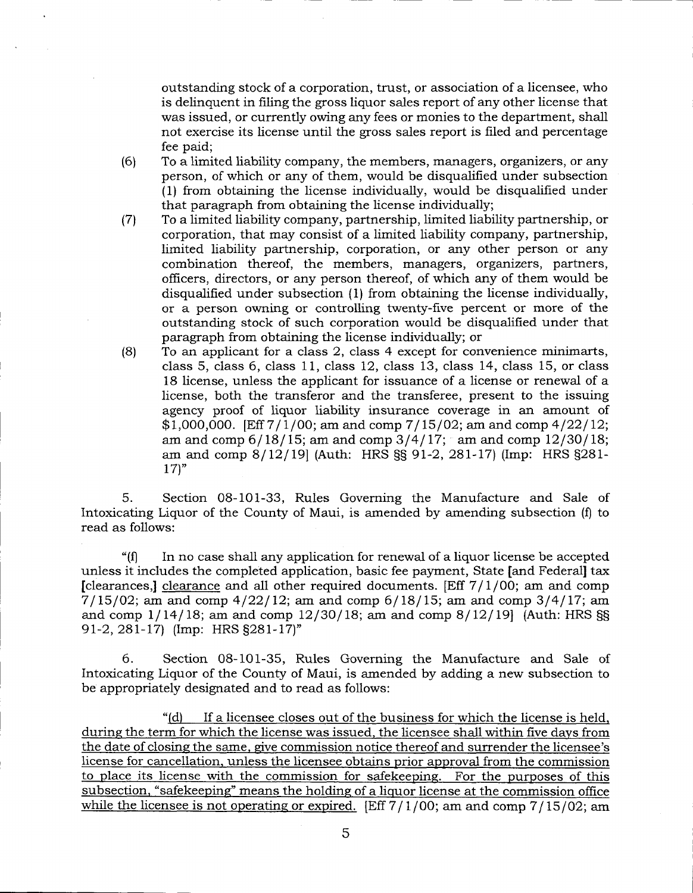outstanding stock of a corporation, trust, or association of a licensee, who is delinquent in filing the gross liquor sales report of any other license that was issued, or currently owing any fees or monies to the department, shall not exercise its license until the gross sales report is filed and percentage fee paid;

- (6) To a limited liability company, the members, managers, organizers, or any person, of which or any of them, would be disqualified under subsection (1) from obtaining the license individually, would be disqualified under that paragraph from obtaining the license individually;
- (7) To a limited liabiliff company, partnership, limited liability partnership, or corporation, that may consist of a limited liability company, partnership, limited liability partnership, corporation, or any other person or any combination thereof, the members, managers, organizers, partners, officers, directors, or any person thereof, of which any of them would be disqualified under subsection (1) from obtaining the license individually, or a person owning or controlling twenty-five percent or more of the outstanding stock of such corporation would be disqualified under that paragraph from obtaining the license individually; or
- (8) To an applicant for a class 2, class 4 except for convenience minimarts, class 5, class 6, class 11, class 12, class 13, class 14, class 15, or class 18 license, unless the applicant for issuance of a license or renewal of a license, both the transferor and the transferee, present to the issuing agency proof of liquor tiability insurance coverage in an amount of  $$1,000,000$ . [Eff  $7/1/00$ ; am and comp  $7/15/02$ ; am and comp  $4/22/12$ ; am and comp  $6/18/15$ ; am and comp  $3/4/17$ ; am and comp  $12/30/18$ ; am and comp 8/12/19| (Auth: HRS §§ 91-2, 281-17) (Imp: HRS §281- $17$ <sup>"</sup>

5. Section 08-101-33, Rules Governing the Manufacture and Sale of Intoxicating Liquor of the County of Maui, is amended by amending subsection (f) to read as follows:

"(fl In no case shall any application for renewal of a liquor license be accepted unless it includes the completed application, basic fee payment, State [and Federal] tax [clearances,] clearance and all other required documents. [Eff  $7/1/00$ ; am and comp  $7/15/02$ ; am and comp  $4/22/12$ ; am and comp  $6/18/15$ ; am and comp  $3/4/17$ ; am and comp  $1/14/18$ ; am and comp  $12/30/18$ ; am and comp  $8/12/19$  (Auth: HRS §§ 91-2, 281-17) (Imp: HRS §281-17)"

6. Section 08-101-35, Rules Governing the Manufacture and Sale of Intoxicating Liquor of the County of Maui, is amended by adding a new subsection to be appropriately designated and to read as foliows:

"(d) If a licensee closes out of the business for which the license is held, during the term for which the license was issued, the licensee shall within five days from the date of closing the same, give commission notice thereof and surrender the licensee's license for cancellation. unless the licensee obtains prior approval from the commission to place its license with the commission for safekeeping. For the purposes of this subsection. "safekeepinq" means the holdinq of a liquor license at the commission office while the licensee is not operating or expired. [Eff  $7/1/00$ ; am and comp  $7/15/02$ ; am

5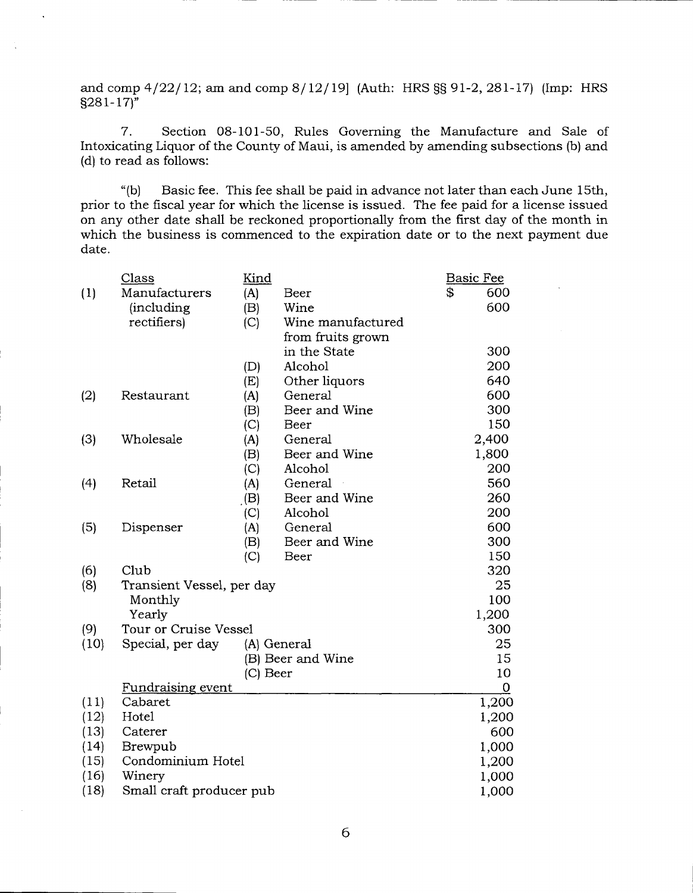and comp  $4/22/12$ ; am and comp  $8/12/19$  (Auth: HRS  $\S$ § 91-2, 281-17) (Imp: HRS s281- 17)"

7. Section 08-101-50, Rules Governing the Manufacture and Sale of Intoxicating Liquor of the County of Maui, is amended by amending subsections (b) and (d) to read as foliows:

"(b) Basic fee. This fee shall be paid in advance not later than each June 15th, prior to the fiscal year for which the license is issued. The fee paid for a license issued on any other date shall be reckoned proportionally from the first day of the month in which the business is commenced to the expiration date or to the next payment due date.

|      | Class                     | Kind       |                   | <b>Basic Fee</b> |
|------|---------------------------|------------|-------------------|------------------|
| (1)  | Manufacturers             | (A)        | Beer              | \$<br>600        |
|      | <i>(including</i>         | (B)        | Wine              | 600              |
|      | rectifiers)               | (C)        | Wine manufactured |                  |
|      |                           |            | from fruits grown |                  |
|      |                           |            | in the State      | 300              |
|      |                           | (D)        | Alcohol           | 200              |
|      |                           | (E)        | Other liquors     | 640              |
| (2)  | Restaurant                | (A)        | General           | 600              |
|      |                           | (B)        | Beer and Wine     | 300              |
|      |                           | (C)        | Beer              | 150              |
| (3)  | Wholesale                 | (A)        | General           | 2,400            |
|      |                           | (B)        | Beer and Wine     | 1,800            |
|      |                           | (C)        | Alcohol           | 200              |
| (4)  | Retail                    | (A)        | General           | 560              |
|      |                           | (B)        | Beer and Wine     | 260              |
|      |                           | (C)        | Alcohol           | 200              |
| (5)  | Dispenser                 | (A)        | General           | 600              |
|      |                           | (B)        | Beer and Wine     | 300              |
|      |                           | (C)        | Beer              | 150              |
| (6)  | Club                      |            |                   | 320              |
| (8)  | Transient Vessel, per day |            |                   | 25               |
|      | Monthly                   |            |                   | 100              |
|      | Yearly                    |            |                   | 1,200            |
| (9)  | Tour or Cruise Vessel     |            |                   | 300              |
| (10) | Special, per day          |            | (A) General       | 25               |
|      |                           |            | (B) Beer and Wine | 15               |
|      |                           | $(C)$ Beer |                   | 10               |
|      | <u>Fundraising event</u>  |            |                   | $\mathbf 0$      |
| (11) | Cabaret                   |            |                   | 1,200            |
| (12) | Hotel                     |            |                   | 1,200            |
| (13) | Caterer                   |            |                   | 600              |
| (14) | Brewpub                   |            |                   | 1,000            |
| (15) | Condominium Hotel         |            |                   | 1,200            |
| (16) | Winery                    |            |                   | 1,000            |
| (18) | Small craft producer pub  |            |                   | 1,000            |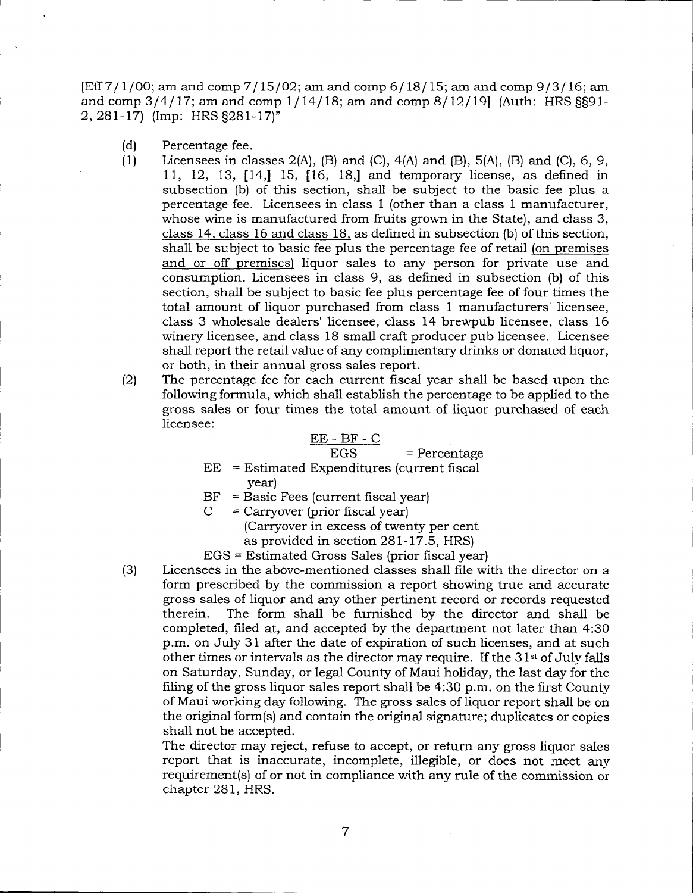$[Eff 7/1/00;$  am and comp  $7/15/02$ ; am and comp  $6/18/15$ ; am and comp  $9/3/16$ ; am and comp  $3/4/17$ ; am and comp  $1/14/18$ ; am and comp  $8/12/19$  (Auth: HRS SS91-2, 28I-I7) (Imp: HRS S28I-I7)"

- (d) Percentage fee.
- (1) Licensees in classes  $2(A)$ ,  $(B)$  and  $(C)$ ,  $4(A)$  and  $(B)$ ,  $5(A)$ ,  $(B)$  and  $(C)$ ,  $6, 9$ , 11, 12, 13,  $[14, 15, 16, 18]$  and temporary license, as defined in subsection (b) of this section, shall be subject to the basic fee plus a percentage fee. Licensees in class 1 (other than a class I manufacturer, whose wine is manufactured from fruits grown in the State), and ciass 3, class 14, class 16 and class 18, as defined in subsection (b) of this section, shall be subject to basic fee plus the percentage fee of retail (on premises and or off premises) liquor sales to any person for private use and consumption. Licensees in class 9, as defined in subsection (b) of this section, shall be subject to basic fee plus percentage fee of four times the total amount of liquor purchased from class 1 manufacturers' licensee, class 3 wholesale dealers' licensee, class 14 brewpub licensee, class 16 winery licensee, and class 18 small craft producer pub licensee. Licensee shall report the retail value of any complimentary drinks or donated liquor, or both, in their annual gross sales report.
- The percentage fee for each current fiscal year shall be based upon the following formula, which shall establish the percentage to be applied to the gross sales or four times the total amount of liquor purchased of each licensee: (2)

$$
\overline{EE - BF - C}
$$

EGS = Percentage EE = Estimated Expenditures (current frscal

- year)
- $BF = Basic Fees (current fiscal year)$
- $=$  Carryover (prior fiscal year) (Carryover in excess of twenty per cent as provided in section28L-17.5, HRS)

EGS = Estimated Gross Sales (prior fiscal year)

(3) Licensees in the above-mentioned classes shall file with the director on a form prescribed by the commission a report showing true and accurate gross sales of liquor and any other pertinent record or records requested therein. The form shall be furnished by the director and shall be completed, fiied at, and accepted by the department not later than 4:30 p.m. on July 31 after the date of expiration of such licenses, and at such other times or intervals as the director may require. If the 31<sup>st</sup> of July falls on Saturday, Sunday, or legal County of Maui holiday, the last day for the filing of the gross liquor sales report shall be 4:30 p.m. on the first County of Maui working day following. The gross sales of liquor report shall be on the original form(s) and contain the original signature; duplicates or copies shall not be accepted.

The director may reject, refuse to accept, or return any gross iiquor sales report that is inaccurate, incomplete, illegible, or does not meet any requirement(s) of or not in compliance with any rule of the commission or chapter 281, HRS.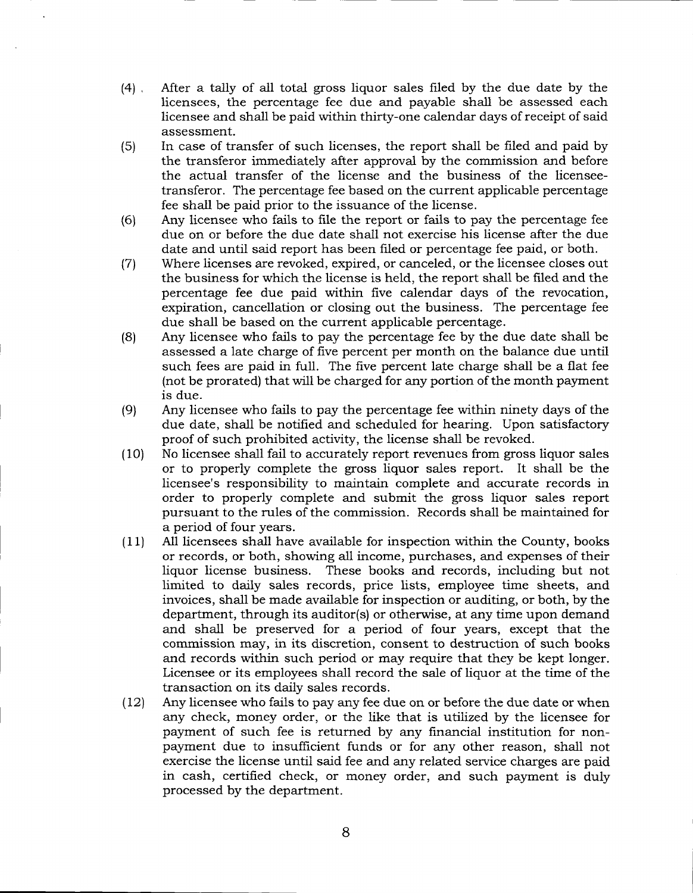- (41 , After a tally of all total gross liquor sales filed by the due date by the licensees, the percentage fee due and payable shall be assessed each licensee and shall be paid within thirty-one calendar days of receipt of said assessment.
- (5) In case of transfer of such licenses, the report shall be filed and paid by the transferor immediately after approval by the commission and before the actual transfer of the license and the business of the licenseetransferor. The percentage fee based on the current applicable percentage fee shall be paid prior to the issuance of the license.
- (6) Any licensee who fails to file the report or fails to pay the percentage fee due on or before the due date shail not exercise his license after the due date and until said report has been filed or percentage fee paid, or both.
- (7) Where licenses are revoked, expired, or canceled, or the licensee closes out the business for which the license is held, the report shall be filed and the percentage fee due paid within five calendar days of the revocation, expiration, cancellation or closing out the business. The percentage fee due shall be based on the current applicable percentage.
- (8) Any licensee who fails to pay the percentage fee by the due date shall be assessed a late charge of five percent per month on the balance due until such fees are paid in full. The five percent late charge shall be a flat fee (not be prorated) that wili be charged for any portion of the month payment is due.
- (9) Any licensee who faiis to pay the percentage fee within ninety days of the due date, shall be notified and scheduled for hearing. Upon satisfactory proof of such prohibited activity, the license shall be revoked.
- (i0) No licensee shall fail to accurately report revenues from gross liquor sales or to properly complete the gross liquor sales report. It shall be the licensee's responsibility to maintain complete and accurate records in order to properly complete and submit the gross liquor sales report pursuant to the rules of the commission. Records shall be maintained for a period of four years.
- $(11)$  All licensees shall have available for inspection within the County, books or records, or both, showing all income, purchases, and expenses of their liquor license business. These books and records, including but not limited to daily sales records, price lists, employee time sheets, and invoices, shall be made available for inspection or auditing, or both, by the department, through its auditor(s) or otherwise, at any time upon demand and shall be preserved for a period of four years, except that the commission may, in its discretion, consent to destruction of such books and records within such period or may require that they be kept longer. Licensee or its employees shall record the sale of liquor at the time of the transaction on its daily sales records.
- $(12)$  Any licensee who fails to pay any fee due on or before the due date or when any check, money order, or the like that is utilized by the licensee for payment of such fee is returned by any financial institution for nonpayment due to insufficient funds or for any other reason, shall not exercise the license until said fee and any related service charges are paid in cash, certified check, or money order, and such payment is duiy processed by the department.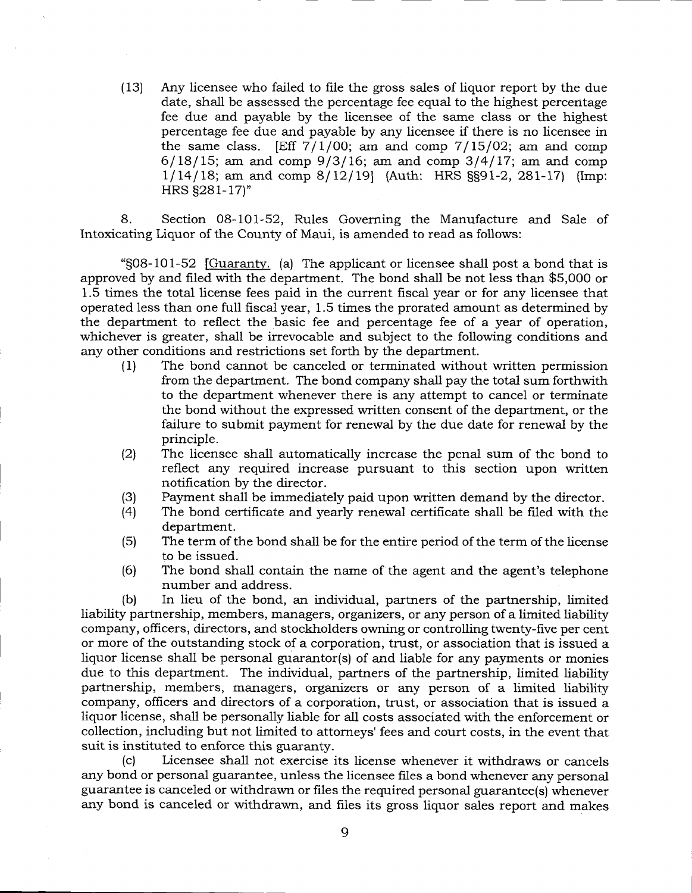(13) Any licensee who failed to fiie the gross sales of liquor report by the due date, shall be assessed the percentage fee equal to the highest percentage fee due and payable by the licensee of the same class or the highest percentage fee due and payable by any licensee if there is no licensee in the same class. [Eff  $7/1/00$ ; am and comp  $7/15/02$ ; am and comp  $6/18/15$ ; am and comp  $9/3/16$ ; am and comp  $3/4/17$ ; am and comp  $1/14/18$ ; am and comp  $8/12/19$  (Auth: HRS SS91-2, 281-17) (Imp: HRS S281-17)"

8. Section 08-101-52, Rules Governing the Manufacture and Sale of Intoxicating Liquor of the County of Maui, is amended to read as follows:

"S08-101-52 fGuaranty. (a) The applicant or licensee shall post a bond that is approved by and filed with the department. The bond shall be not less than \$5,000 or 1.5 times the total license fees paid in the current fiscal year or for any licensee that operated less than one full fiscal year, 1.5 times the prorated amount as determined by the department to reflect the basic fee and percentage fee of a year of operation, whichever is greater, shall be irrevocable and subject to the following conditions and any other conditions and restrictions set forth by the department.

- (1) The bond cannot be canceled or terminated without written permission from the department. The bond company shall pay the total sum forthwith to the department whenever there is any attempt to cancel or terminate the bond without the expressed written consent of the department, or the failure to submit payment for renewal by the due date for renewal by the principle.
- (2) The iicensee shali automatically increase the penal sum of the bond to reflect any required increase pursuant to this section upon written notification by the director.
- (3) Payment shall be immediately paid upon written demand by the director.<br>(4) The bond certificate and vearly renewal certificate shall be filed with the
- The bond certificate and yearly renewal certificate shall be filed with the department.
- (5) The term of the bond shall be for the entire period of the term of the license to be issued.
- (6) The bond shall contain the name of the agent and the agent's telephone number and address.

(b) In lieu of the bond, an individual, partners of the partnership, limited liability partnership, members, managers, organizers, or any person of a limited liability company, officers, directors, and stockholders owning or controlling twenty-five per cent or more of the outstanding stock of a corporation, trust, or association that is issued a liquor license shall be personal guarantor(s) of and liable for any payments or monies due to this department. The individual, partners of the partnership, limited liability partnership, members, managers, organizers or any person of a limited liability company, officers and directors of a corporation, trust, or association that is issued a liquor license, shall be personally liable for all costs associated with the enforcement or collection, including but not limited to attorneys' fees and court costs, in the event that suit is instituted to enforce this guaranty.

(c) Licensee shall not exercise its license whenever it withdraws or cancels any bond or personal guarantee, unless the licensee files a bond whenever any personal guarantee is canceled or withdrawn or files the required personal guarantee(s) whenever any bond is canceled or withdrawn, and files its gross liquor sales report and makes